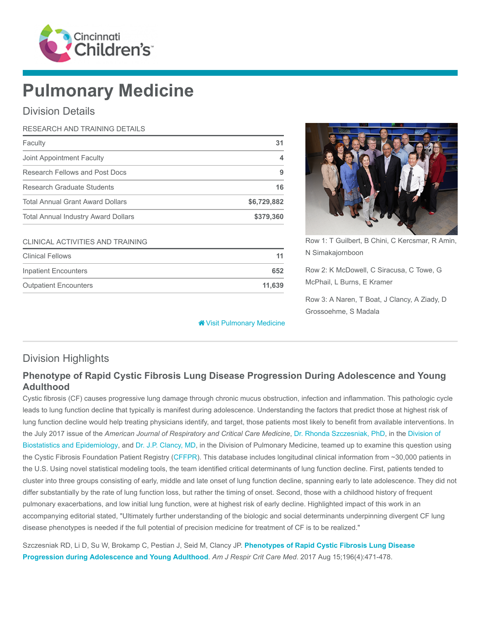

# Pulmonary Medicine

### Division Details

| RESEARCH AND TRAINING DETAILS              |             |
|--------------------------------------------|-------------|
| Faculty                                    | 31          |
| Joint Appointment Faculty                  | 4           |
| Research Fellows and Post Docs             | 9           |
| Research Graduate Students                 | 16          |
| <b>Total Annual Grant Award Dollars</b>    | \$6,729,882 |
| <b>Total Annual Industry Award Dollars</b> | \$379,360   |

#### CLINICAL ACTIVITIES AND TRAINING

| <b>Clinical Fellows</b>      |        |
|------------------------------|--------|
| Inpatient Encounters         | 652    |
| <b>Outpatient Encounters</b> | 11.639 |

**<sup>\*</sup>** [Visit Pulmonary Medicine](https://www.cincinnatichildrens.org/research/divisions/p/pulmonary)



Row 1: T Guilbert, B Chini, C Kercsmar, R Amin, N Simakajornboon

Row 2: K McDowell, C Siracusa, C Towe, G McPhail, L Burns, E Kramer

Row 3: A Naren, T Boat, J Clancy, A Ziady, D Grossoehme, S Madala

# Division Highlights

# Phenotype of Rapid Cystic Fibrosis Lung Disease Progression During Adolescence and Young Adulthood

Cystic fibrosis (CF) causes progressive lung damage through chronic mucus obstruction, infection and inflammation. This pathologic cycle leads to lung function decline that typically is manifest during adolescence. Understanding the factors that predict those at highest risk of lung function decline would help treating physicians identify, and target, those patients most likely to benefit from available interventions. In the July 2017 issue of the American Journal of Respiratory and Critical Care Medicine, [Dr. Rhonda Szczesniak, PhD](https://www.cincinnatichildrens.org/bio/s/rhonda-szczesniak), in the Division of [Biostatistics and Epidemiology, and Dr. J.P. Clancy, MD, in the Division of Pulmonary Medicine, teamed up to examine this question us](https://www.cincinnatichildrens.org/research/divisions/b/biostatistics)ing the Cystic Fibrosis Foundation Patient Registry ([CFFPR\)](https://www.cff.org/Research/Researcher-Resources/Patient-Registry/). This database includes longitudinal clinical information from ~30,000 patients in the U.S. Using novel statistical modeling tools, the team identified critical determinants of lung function decline. First, patients tended to cluster into three groups consisting of early, middle and late onset of lung function decline, spanning early to late adolescence. They did not differ substantially by the rate of lung function loss, but rather the timing of onset. Second, those with a childhood history of frequent pulmonary exacerbations, and low initial lung function, were at highest risk of early decline. Highlighted impact of this work in an accompanying editorial stated, "Ultimately further understanding of the biologic and social determinants underpinning divergent CF lung disease phenotypes is needed if the full potential of precision medicine for treatment of CF is to be realized."

[Szczesniak RD, Li D, Su W, Brokamp C, Pestian J, Seid M, Clancy JP.](https://www.ncbi.nlm.nih.gov/pubmed/28410569) Phenotypes of Rapid Cystic Fibrosis Lung Disease Progression during Adolescence and Young Adulthood. Am J Respir Crit Care Med. 2017 Aug 15;196(4):471-478.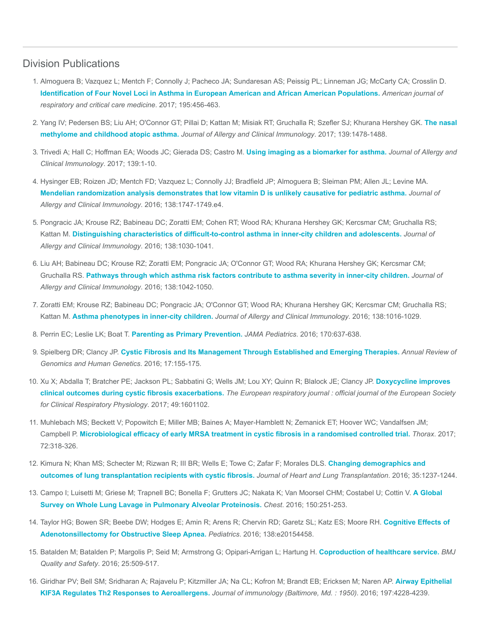#### Division Publications

- 1. Almoguera B; Vazquez L; Mentch F; Connolly J; Pacheco JA; Sundaresan AS; Peissig PL; Linneman JG; McCarty CA; Crosslin D. [Identification of Four Novel Loci in Asthma in European American and African American Populations.](https://www.ncbi.nlm.nih.gov/pubmed/27611488) American journal of respiratory and critical care medicine. 2017; 195:456-463.
- 2. [Yang IV; Pedersen BS; Liu AH; O'Connor GT; Pillai D; Kattan M; Misiak RT; Gruchalla R; Szefler SJ; Khurana Hershey GK.](https://www.ncbi.nlm.nih.gov/pubmed/27745942) The nasal methylome and childhood atopic asthma. Journal of Allergy and Clinical Immunology. 2017; 139:1478-1488.
- 3. Trivedi A; Hall C; Hoffman EA; Woods JC; Gierada DS; Castro M. [Using imaging as a biomarker for asthma.](https://www.ncbi.nlm.nih.gov/pubmed/28065276) Journal of Allergy and Clinical Immunology. 2017; 139:1-10.
- 4. Hysinger EB; Roizen JD; Mentch FD; Vazquez L; Connolly JJ; Bradfield JP; Almoguera B; Sleiman PM; Allen JL; Levine MA. [Mendelian randomization analysis demonstrates that low vitamin D is unlikely causative for pediatric asthma.](https://www.ncbi.nlm.nih.gov/pubmed/27554823) Journal of Allergy and Clinical Immunology. 2016; 138:1747-1749.e4.
- 5. Pongracic JA; Krouse RZ; Babineau DC; Zoratti EM; Cohen RT; Wood RA; Khurana Hershey GK; Kercsmar CM; Gruchalla RS; Kattan M. [Distinguishing characteristics of difficult-to-control asthma in inner-city children and adolescents.](https://www.ncbi.nlm.nih.gov/pubmed/27720017) Journal of Allergy and Clinical Immunology. 2016; 138:1030-1041.
- 6. Liu AH; Babineau DC; Krouse RZ; Zoratti EM; Pongracic JA; O'Connor GT; Wood RA; Khurana Hershey GK; Kercsmar CM; Gruchalla RS. [Pathways through which asthma risk factors contribute to asthma severity in inner-city children.](https://www.ncbi.nlm.nih.gov/pubmed/27720018) Journal of Allergy and Clinical Immunology. 2016; 138:1042-1050.
- 7. Zoratti EM; Krouse RZ; Babineau DC; Pongracic JA; O'Connor GT; Wood RA; Khurana Hershey GK; Kercsmar CM; Gruchalla RS; Kattan M. [Asthma phenotypes in inner-city children.](https://www.ncbi.nlm.nih.gov/pubmed/27720016) Journal of Allergy and Clinical Immunology. 2016; 138:1016-1029.
- 8. Perrin EC; Leslie LK; Boat T. [Parenting as Primary Prevention.](https://www.ncbi.nlm.nih.gov/pubmed/27182902) JAMA Pediatrics. 2016; 170:637-638.
- 9. Spielberg DR; Clancy JP. [Cystic Fibrosis and Its Management Through Established and Emerging Therapies.](https://www.ncbi.nlm.nih.gov/pubmed/26905785) Annual Review of Genomics and Human Genetics. 2016; 17:155-175.
- 10. [Xu X; Abdalla T; Bratcher PE; Jackson PL; Sabbatini G; Wells JM; Lou XY; Quinn R; Blalock JE; Clancy JP.](https://www.ncbi.nlm.nih.gov/pubmed/28381428) Doxycycline improves clinical outcomes during cystic fibrosis exacerbations. The European respiratory journal : official journal of the European Society for Clinical Respiratory Physiology. 2017; 49:1601102.
- 11. Muhlebach MS; Beckett V; Popowitch E; Miller MB; Baines A; Mayer-Hamblett N; Zemanick ET; Hoover WC; Vandalfsen JM; Campbell P. [Microbiological efficacy of early MRSA treatment in cystic fibrosis in a randomised controlled trial.](https://www.ncbi.nlm.nih.gov/pubmed/27852955) Thorax. 2017; 72:318-326.
- 12. [Kimura N; Khan MS; Schecter M; Rizwan R; III BR; Wells E; Towe C; Zafar F; Morales DLS.](https://www.ncbi.nlm.nih.gov/pubmed/27373821) Changing demographics and outcomes of lung transplantation recipients with cystic fibrosis. Journal of Heart and Lung Transplantation. 2016; 35:1237-1244.
- 13. [Campo I; Luisetti M; Griese M; Trapnell BC; Bonella F; Grutters JC; Nakata K; Van Moorsel CHM; Costabel U; Cottin V.](https://www.ncbi.nlm.nih.gov/pubmed/27396783) A Global Survey on Whole Lung Lavage in Pulmonary Alveolar Proteinosis. Chest. 2016; 150:251-253.
- 14. [Taylor HG; Bowen SR; Beebe DW; Hodges E; Amin R; Arens R; Chervin RD; Garetz SL; Katz ES; Moore RH.](https://www.ncbi.nlm.nih.gov/pubmed/27464674) Cognitive Effects of Adenotonsillectomy for Obstructive Sleep Apnea. Pediatrics. 2016; 138:e20154458.
- 15. Batalden M; Batalden P; Margolis P; Seid M; Armstrong G; Opipari-Arrigan L; Hartung H. [Coproduction of healthcare service.](https://www.ncbi.nlm.nih.gov/pubmed/26376674) BMJ Quality and Safety. 2016; 25:509-517.
- 16. [Giridhar PV; Bell SM; Sridharan A; Rajavelu P; Kitzmiller JA; Na CL; Kofron M; Brandt EB; Ericksen M; Naren AP.](https://www.ncbi.nlm.nih.gov/pubmed/27794000) Airway Epithelial KIF3A Regulates Th2 Responses to Aeroallergens. Journal of immunology (Baltimore, Md. : 1950). 2016; 197:4228-4239.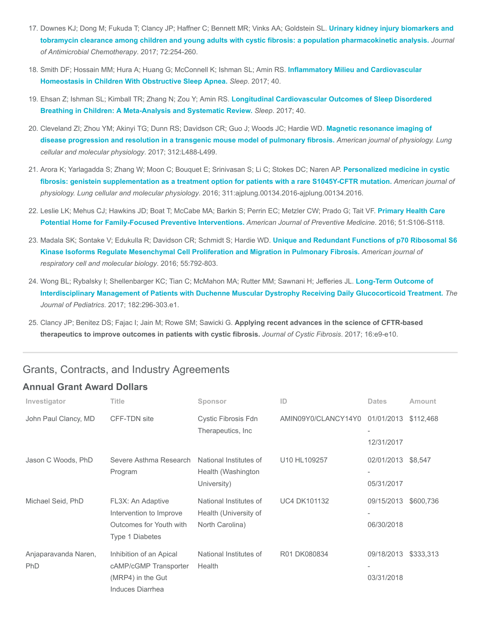- 17. Downes KJ; Dong M; Fukuda T; Clancy JP; Haffner C; Bennett MR; Vinks AA; Goldstein SL. Urinary kidney injury biomarkers and [tobramycin clearance among children and young adults with cystic fibrosis: a population pharmacokinetic analysis.](https://www.ncbi.nlm.nih.gov/pubmed/27585963) Journal of Antimicrobial Chemotherapy. 2017; 72:254-260.
- 18. [Smith DF; Hossain MM; Hura A; Huang G; McConnell K; Ishman SL; Amin RS.](https://www.ncbi.nlm.nih.gov/pubmed/28204724) Inflammatory Milieu and Cardiovascular Homeostasis in Children With Obstructive Sleep Apnea. Sleep. 2017; 40.
- 19. [Ehsan Z; Ishman SL; Kimball TR; Zhang N; Zou Y; Amin RS.](https://www.ncbi.nlm.nih.gov/pubmed/28329042) Longitudinal Cardiovascular Outcomes of Sleep Disordered Breathing in Children: A Meta-Analysis and Systematic Review. Sleep. 2017; 40.
- 20. [Cleveland ZI; Zhou YM; Akinyi TG; Dunn RS; Davidson CR; Guo J; Woods JC; Hardie WD.](https://www.ncbi.nlm.nih.gov/pubmed/28130263) Magnetic resonance imaging of disease progression and resolution in a transgenic mouse model of pulmonary fibrosis. American journal of physiology. Lung cellular and molecular physiology. 2017; 312:L488-L499.
- 21. [Arora K; Yarlagadda S; Zhang W; Moon C; Bouquet E; Srinivasan S; Li C; Stokes DC; Naren AP.](https://www.ncbi.nlm.nih.gov/pubmed/27261451) Personalized medicine in cystic fibrosis: genistein supplementation as a treatment option for patients with a rare S1045Y-CFTR mutation. American journal of physiology. Lung cellular and molecular physiology. 2016; 311:ajplung.00134.2016-ajplung.00134.2016.
- 22. [Leslie LK; Mehus CJ; Hawkins JD; Boat T; McCabe MA; Barkin S; Perrin EC; Metzler CW; Prado G; Tait VF.](https://www.ncbi.nlm.nih.gov/pubmed/27498167) Primary Health Care Potential Home for Family-Focused Preventive Interventions. American Journal of Preventive Medicine. 2016; 51:S106-S118.
- 23. Madala SK; Sontake V; Edukulla R; Davidson CR; Schmidt S; Hardie WD. Unique and Redundant Functions of p70 Ribosomal S6 [Kinase Isoforms Regulate Mesenchymal Cell Proliferation and Migration in Pulmonary Fibrosis.](https://www.ncbi.nlm.nih.gov/pubmed/27438654) American journal of respiratory cell and molecular biology. 2016; 55:792-803.
- 24. Wong BL; Rybalsky I; Shellenbarger KC; Tian C; McMahon MA; Rutter MM; Sawnani H; Jefferies JL. Long-Term Outcome of [Interdisciplinary Management of Patients with Duchenne Muscular Dystrophy Receiving Daily Glucocorticoid Treatment.](https://www.ncbi.nlm.nih.gov/pubmed/28043681) The Journal of Pediatrics. 2017; 182:296-303.e1.
- 25. Clancy JP; Benitez DS; Fajac I; Jain M; Rowe SM; Sawicki G. Applying recent advances in the science of CFTR-based therapeutics to improve outcomes in patients with cystic fibrosis. Journal of Cystic Fibrosis. 2017; 16:e9-e10.

#### Grants, Contracts, and Industry Agreements

#### Annual Grant Award Dollars

| Investigator                       | <b>Title</b>                                                                               | Sponsor                                                            | ID                  | <b>Dates</b>             | <b>Amount</b> |
|------------------------------------|--------------------------------------------------------------------------------------------|--------------------------------------------------------------------|---------------------|--------------------------|---------------|
| John Paul Clancy, MD               | <b>CFF-TDN site</b>                                                                        | <b>Cystic Fibrosis Fdn</b><br>Therapeutics, Inc.                   | AMIN09Y0/CLANCY14Y0 | 01/01/2013<br>12/31/2017 | \$112,468     |
| Jason C Woods, PhD                 | Severe Asthma Research<br>Program                                                          | National Institutes of<br>Health (Washington<br>University)        | U10 HL109257        | 02/01/2013<br>05/31/2017 | \$8,547       |
| Michael Seid, PhD                  | FL3X: An Adaptive<br>Intervention to Improve<br>Outcomes for Youth with<br>Type 1 Diabetes | National Institutes of<br>Health (University of<br>North Carolina) | <b>UC4 DK101132</b> | 09/15/2013<br>06/30/2018 | \$600,736     |
| Anjaparavanda Naren,<br><b>PhD</b> | Inhibition of an Apical<br>cAMP/cGMP Transporter<br>(MRP4) in the Gut<br>Induces Diarrhea  | National Institutes of<br>Health                                   | R01 DK080834        | 09/18/2013<br>03/31/2018 | \$333,313     |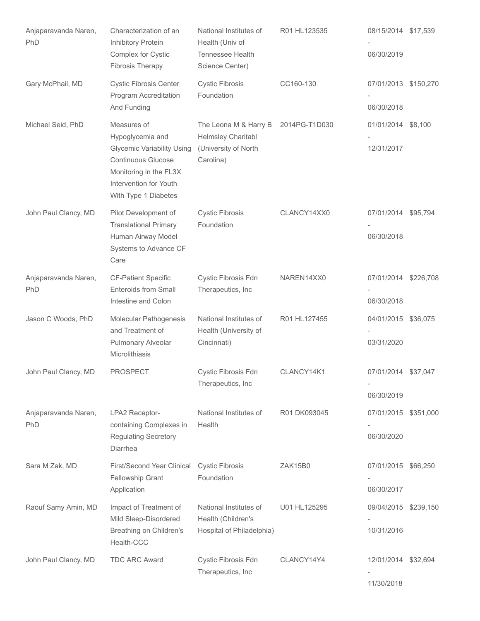| Anjaparavanda Naren,<br>PhD | Characterization of an<br>Inhibitory Protein<br>Complex for Cystic<br><b>Fibrosis Therapy</b>                                                                          | National Institutes of<br>Health (Univ of<br>Tennessee Health<br>Science Center) | R01 HL123535  | 08/15/2014 \$17,539<br>06/30/2019  |  |
|-----------------------------|------------------------------------------------------------------------------------------------------------------------------------------------------------------------|----------------------------------------------------------------------------------|---------------|------------------------------------|--|
| Gary McPhail, MD            | <b>Cystic Fibrosis Center</b><br>Program Accreditation<br>And Funding                                                                                                  | <b>Cystic Fibrosis</b><br>Foundation                                             | CC160-130     | 07/01/2013 \$150,270<br>06/30/2018 |  |
| Michael Seid, PhD           | Measures of<br>Hypoglycemia and<br><b>Glycemic Variability Using</b><br>Continuous Glucose<br>Monitoring in the FL3X<br>Intervention for Youth<br>With Type 1 Diabetes | The Leona M & Harry B<br>Helmsley Charitabl<br>(University of North<br>Carolina) | 2014PG-T1D030 | 01/01/2014 \$8,100<br>12/31/2017   |  |
| John Paul Clancy, MD        | Pilot Development of<br><b>Translational Primary</b><br>Human Airway Model<br>Systems to Advance CF<br>Care                                                            | <b>Cystic Fibrosis</b><br>Foundation                                             | CLANCY14XX0   | 07/01/2014 \$95,794<br>06/30/2018  |  |
| Anjaparavanda Naren,<br>PhD | <b>CF-Patient Specific</b><br><b>Enteroids from Small</b><br>Intestine and Colon                                                                                       | Cystic Fibrosis Fdn<br>Therapeutics, Inc                                         | NAREN14XX0    | 07/01/2014 \$226,708<br>06/30/2018 |  |
| Jason C Woods, PhD          | Molecular Pathogenesis<br>and Treatment of<br>Pulmonary Alveolar<br>Microlithiasis                                                                                     | National Institutes of<br>Health (University of<br>Cincinnati)                   | R01 HL127455  | 04/01/2015 \$36,075<br>03/31/2020  |  |
| John Paul Clancy, MD        | <b>PROSPECT</b>                                                                                                                                                        | <b>Cystic Fibrosis Fdn</b><br>Therapeutics, Inc                                  | CLANCY14K1    | 07/01/2014 \$37,047<br>06/30/2019  |  |
| Anjaparavanda Naren,<br>PhD | LPA2 Receptor-<br>containing Complexes in<br><b>Regulating Secretory</b><br>Diarrhea                                                                                   | National Institutes of<br>Health                                                 | R01 DK093045  | 07/01/2015 \$351,000<br>06/30/2020 |  |
| Sara M Zak, MD              | First/Second Year Clinical<br><b>Fellowship Grant</b><br>Application                                                                                                   | <b>Cystic Fibrosis</b><br>Foundation                                             | ZAK15B0       | 07/01/2015 \$66,250<br>06/30/2017  |  |
| Raouf Samy Amin, MD         | Impact of Treatment of<br>Mild Sleep-Disordered<br>Breathing on Children's<br>Health-CCC                                                                               | National Institutes of<br>Health (Children's<br>Hospital of Philadelphia)        | U01 HL125295  | 09/04/2015 \$239,150<br>10/31/2016 |  |
| John Paul Clancy, MD        | <b>TDC ARC Award</b>                                                                                                                                                   | Cystic Fibrosis Fdn<br>Therapeutics, Inc                                         | CLANCY14Y4    | 12/01/2014 \$32,694<br>11/30/2018  |  |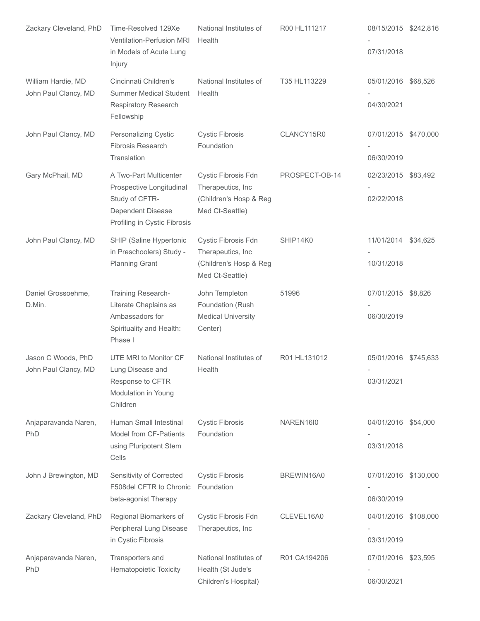| Zackary Cleveland, PhD                     | Time-Resolved 129Xe<br>Ventilation-Perfusion MRI<br>in Models of Acute Lung<br>Injury                                     | National Institutes of<br>Health                                                      | R00 HL111217   | 08/15/2015 \$242,816<br>07/31/2018 |          |
|--------------------------------------------|---------------------------------------------------------------------------------------------------------------------------|---------------------------------------------------------------------------------------|----------------|------------------------------------|----------|
| William Hardie, MD<br>John Paul Clancy, MD | Cincinnati Children's<br><b>Summer Medical Student</b><br>Respiratory Research<br>Fellowship                              | National Institutes of<br>Health                                                      | T35 HL113229   | 05/01/2016 \$68,526<br>04/30/2021  |          |
| John Paul Clancy, MD                       | <b>Personalizing Cystic</b><br><b>Fibrosis Research</b><br>Translation                                                    | <b>Cystic Fibrosis</b><br>Foundation                                                  | CLANCY15R0     | 07/01/2015 \$470,000<br>06/30/2019 |          |
| Gary McPhail, MD                           | A Two-Part Multicenter<br>Prospective Longitudinal<br>Study of CFTR-<br>Dependent Disease<br>Profiling in Cystic Fibrosis | Cystic Fibrosis Fdn<br>Therapeutics, Inc<br>(Children's Hosp & Reg<br>Med Ct-Seattle) | PROSPECT-OB-14 | 02/23/2015 \$83,492<br>02/22/2018  |          |
| John Paul Clancy, MD                       | SHIP (Saline Hypertonic<br>in Preschoolers) Study -<br><b>Planning Grant</b>                                              | Cystic Fibrosis Fdn<br>Therapeutics, Inc<br>(Children's Hosp & Reg<br>Med Ct-Seattle) | SHIP14K0       | 11/01/2014<br>10/31/2018           | \$34,625 |
| Daniel Grossoehme,<br>D.Min.               | Training Research-<br>Literate Chaplains as<br>Ambassadors for<br>Spirituality and Health:<br>Phase I                     | John Templeton<br>Foundation (Rush<br><b>Medical University</b><br>Center)            | 51996          | 07/01/2015 \$8,826<br>06/30/2019   |          |
| Jason C Woods, PhD<br>John Paul Clancy, MD | UTE MRI to Monitor CF<br>Lung Disease and<br>Response to CFTR<br>Modulation in Young<br>Children                          | National Institutes of<br>Health                                                      | R01 HL131012   | 05/01/2016 \$745,633<br>03/31/2021 |          |
| Anjaparavanda Naren,<br>PhD                | Human Small Intestinal<br>Model from CF-Patients<br>using Pluripotent Stem<br>Cells                                       | <b>Cystic Fibrosis</b><br>Foundation                                                  | NAREN16I0      | 04/01/2016 \$54,000<br>03/31/2018  |          |
| John J Brewington, MD                      | Sensitivity of Corrected<br>F508del CFTR to Chronic<br>beta-agonist Therapy                                               | <b>Cystic Fibrosis</b><br>Foundation                                                  | BREWIN16A0     | 07/01/2016 \$130,000<br>06/30/2019 |          |
| Zackary Cleveland, PhD                     | Regional Biomarkers of<br>Peripheral Lung Disease<br>in Cystic Fibrosis                                                   | Cystic Fibrosis Fdn<br>Therapeutics, Inc                                              | CLEVEL16A0     | 04/01/2016 \$108,000<br>03/31/2019 |          |
| Anjaparavanda Naren,<br>PhD                | Transporters and<br>Hematopoietic Toxicity                                                                                | National Institutes of<br>Health (St Jude's<br>Children's Hospital)                   | R01 CA194206   | 07/01/2016 \$23,595<br>06/30/2021  |          |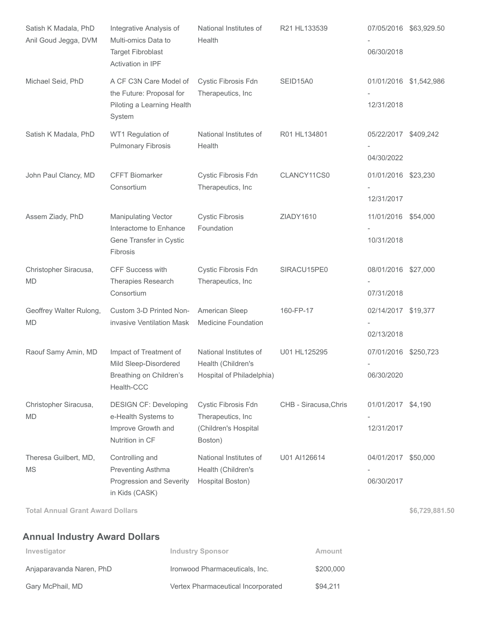| Satish K Madala, PhD<br>Anil Goud Jegga, DVM | Integrative Analysis of<br>Multi-omics Data to<br><b>Target Fibroblast</b><br>Activation in IPF | National Institutes of<br>Health                                            | R21 HL133539          | 06/30/2018                         | 07/05/2016 \$63,929.50 |
|----------------------------------------------|-------------------------------------------------------------------------------------------------|-----------------------------------------------------------------------------|-----------------------|------------------------------------|------------------------|
| Michael Seid, PhD                            | A CF C3N Care Model of<br>the Future: Proposal for<br>Piloting a Learning Health<br>System      | Cystic Fibrosis Fdn<br>Therapeutics, Inc                                    | SEID15A0              | 12/31/2018                         | 01/01/2016 \$1,542,986 |
| Satish K Madala, PhD                         | WT1 Regulation of<br><b>Pulmonary Fibrosis</b>                                                  | National Institutes of<br>Health                                            | R01 HL134801          | 05/22/2017 \$409,242<br>04/30/2022 |                        |
| John Paul Clancy, MD                         | <b>CFFT Biomarker</b><br>Consortium                                                             | Cystic Fibrosis Fdn<br>Therapeutics, Inc                                    | CLANCY11CS0           | 01/01/2016 \$23,230<br>12/31/2017  |                        |
| Assem Ziady, PhD                             | <b>Manipulating Vector</b><br>Interactome to Enhance<br>Gene Transfer in Cystic<br>Fibrosis     | <b>Cystic Fibrosis</b><br>Foundation                                        | ZIADY1610             | 11/01/2016 \$54,000<br>10/31/2018  |                        |
| Christopher Siracusa,<br><b>MD</b>           | CFF Success with<br><b>Therapies Research</b><br>Consortium                                     | Cystic Fibrosis Fdn<br>Therapeutics, Inc                                    | SIRACU15PE0           | 08/01/2016 \$27,000<br>07/31/2018  |                        |
| Geoffrey Walter Rulong,<br><b>MD</b>         | Custom 3-D Printed Non-<br>invasive Ventilation Mask                                            | American Sleep<br><b>Medicine Foundation</b>                                | 160-FP-17             | 02/14/2017 \$19,377<br>02/13/2018  |                        |
| Raouf Samy Amin, MD                          | Impact of Treatment of<br>Mild Sleep-Disordered<br>Breathing on Children's<br>Health-CCC        | National Institutes of<br>Health (Children's<br>Hospital of Philadelphia)   | U01 HL125295          | 07/01/2016 \$250,723<br>06/30/2020 |                        |
| Christopher Siracusa,<br><b>MD</b>           | <b>DESIGN CF: Developing</b><br>e-Health Systems to<br>Improve Growth and<br>Nutrition in CF    | Cystic Fibrosis Fdn<br>Therapeutics, Inc<br>(Children's Hospital<br>Boston) | CHB - Siracusa, Chris | 01/01/2017 \$4,190<br>12/31/2017   |                        |
| Theresa Guilbert, MD,<br><b>MS</b>           | Controlling and<br>Preventing Asthma<br>Progression and Severity<br>in Kids (CASK)              | National Institutes of<br>Health (Children's<br>Hospital Boston)            | U01 AI126614          | 04/01/2017<br>06/30/2017           | \$50,000               |

Total Annual Grant Award Dollars **\$6,729,881.50** \$6,729,881.50

Annual Industry Award Dollars

| Investigator             | <b>Industry Sponsor</b>            | Amount    |
|--------------------------|------------------------------------|-----------|
| Anjaparavanda Naren, PhD | Ironwood Pharmaceuticals, Inc.     | \$200,000 |
| Gary McPhail, MD         | Vertex Pharmaceutical Incorporated | \$94.211  |